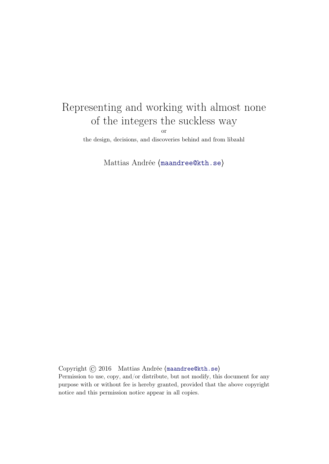# Representing and working with almost none of the integers the suckless way

or

the design, decisions, and discoveries behind and from libzahl

Mattias Andrée ⟨[maandree@kth.se](mailto:maandree@kth.se)⟩

Copyright © 2016 Mattias Andrée ⟨[maandree@kth.se](mailto:maandree@kth.se)⟩

Permission to use, copy, and/or distribute, but not modify, this document for any purpose with or without fee is hereby granted, provided that the above copyright notice and this permission notice appear in all copies.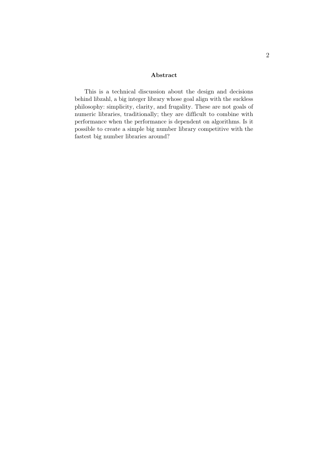#### Abstract

This is a technical discussion about the design and decisions behind libzahl, a big integer library whose goal align with the suckless philosophy: simplicity, clarity, and frugality. These are not goals of numeric libraries, traditionally; they are difficult to combine with performance when the performance is dependent on algorithms. Is it possible to create a simple big number library competitive with the fastest big number libraries around?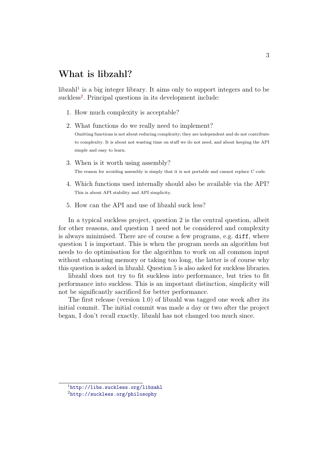#### What is libzahl?

 $libzahl<sup>1</sup>$  $libzahl<sup>1</sup>$  $libzahl<sup>1</sup>$  is a big integer library. It aims only to support integers and to be suckless<sup>[2](#page-2-1)</sup>. Principal questions in its development include:

- 1. How much complexity is acceptable?
- 2. What functions do we really need to implement?

Omitting functions is not about reducing complexity; they are independent and do not contribute to complexity. It is about not wasting time on stuff we do not need, and about keeping the API simple and easy to learn.

- 3. When is it worth using assembly? The reason for avoiding assembly is simply that it is not portable and cannot replace C code.
- 4. Which functions used internally should also be available via the API? This is about API stability and API simplicity.
- 5. How can the API and use of libzahl suck less?

In a typical suckless project, question 2 is the central question, albeit for other reasons, and question 1 need not be considered and complexity is always minimised. There are of course a few programs, e.g. diff, where question 1 is important. This is when the program needs an algorithm but needs to do optimisation for the algorithm to work on all common input without exhausting memory or taking too long, the latter is of course why this question is asked in libzahl. Question 5 is also asked for suckless libraries.

libzahl does not try to fit suckless into performance, but tries to fit performance into suckless. This is an important distinction, simplicity will not be significantly sacrificed for better performance.

The first release (version 1.0) of libzahl was tagged one week after its initial commit. The initial commit was made a day or two after the project began, I don't recall exactly. libzahl has not changed too much since.

<span id="page-2-0"></span><sup>1</sup><http://libs.suckless.org/libzahl>

<span id="page-2-1"></span><sup>2</sup><http://suckless.org/philosophy>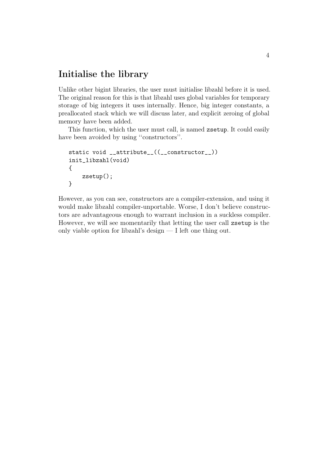#### Initialise the library

Unlike other bigint libraries, the user must initialise libzahl before it is used. The original reason for this is that libzahl uses global variables for temporary storage of big integers it uses internally. Hence, big integer constants, a preallocated stack which we will discuss later, and explicit zeroing of global memory have been added.

This function, which the user must call, is named zsetup. It could easily have been avoided by using ''constructors''.

```
static void __attribute__((__constructor__))
init_libzahl(void)
{
    zsetup();
}
```
However, as you can see, constructors are a compiler-extension, and using it would make libzahl compiler-unportable. Worse, I don't believe constructors are advantageous enough to warrant inclusion in a suckless compiler. However, we will see momentarily that letting the user call zsetup is the only viable option for libzahl's design — I left one thing out.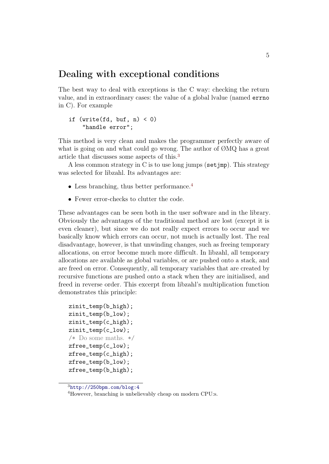#### Dealing with exceptional conditions

The best way to deal with exceptions is the C way: checking the return value, and in extraordinary cases: the value of a global lvalue (named errno in C). For example

#### if  $(write(fd, but, n) < 0)$ "handle error";

This method is very clean and makes the programmer perfectly aware of what is going on and what could go wrong. The author of  $\mathcal{O}MQ$  has a great article that discusses some aspects of this.[3](#page-4-0)

A less common strategy in C is to use long jumps (set  $\text{imp}$ ). This strategy was selected for libzahl. Its advantages are:

- Less branching, thus better performance.<sup>[4](#page-4-1)</sup>
- Fewer error-checks to clutter the code.

These advantages can be seen both in the user software and in the library. Obviously the advantages of the traditional method are lost (except it is even cleaner), but since we do not really expect errors to occur and we basically know which errors can occur, not much is actually lost. The real disadvantage, however, is that unwinding changes, such as freeing temporary allocations, on error become much more difficult. In libzahl, all temporary allocations are available as global variables, or are pushed onto a stack, and are freed on error. Consequently, all temporary variables that are created by recursive functions are pushed onto a stack when they are initialised, and freed in reverse order. This excerpt from libzahl's multiplication function demonstrates this principle:

```
zinit_temp(b_high);
zinit_temp(b_low);
zinit_temp(c_high);
zinit_temp(c_low);
/* Do some maths. */
zfree_temp(c_low);
zfree_temp(c_high);
zfree_temp(b_low);
zfree_temp(b_high);
```
<span id="page-4-0"></span> $3$ <http://250bpm.com/blog:4>

<span id="page-4-1"></span><sup>4</sup>However, branching is unbelievably cheap on modern CPU:s.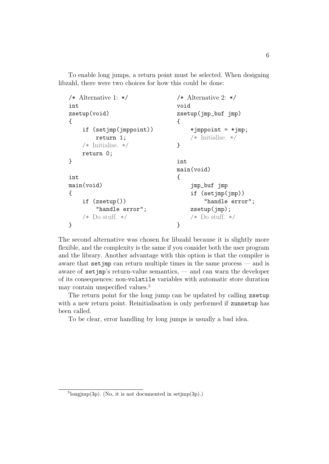To enable long jumps, a return point must be selected. When designing libzahl, there were two choices for how this could be done:

```
/* Alternative 1: */
int
zsetup(void)
{
    if (setjmp(jmppoint))
         return 1;
    /* Initialise. */
    return 0;
}
int
main(void)
{
    if (zsetup())
         "handle error";
    /* Do stuff. */}
                                   /* Alternative 2: */
                                   void
                                   zsetup(jmp_buf jmp)
                                   {
                                        *jmppoint = *jmp;
                                        /* Initialise. */
                                   }
                                   int
                                   main(void)
                                   {
                                        jmp_buf jmp
                                        if (setjmp(jmp))
                                            "handle error";
                                        zsetup(jmp);
                                        /* Do stuff. */
                                   }
```
The second alternative was chosen for libzahl because it is slightly more flexible, and the complexity is the same if you consider both the user program and the library. Another advantage with this option is that the compiler is aware that setjmp can return multiple times in the same process — and is aware of  $set$   $\text{pre}$  imp's return-value semantics, — and can warn the developer of its consequences: non-volatile variables with automatic store duration may contain unspecified values.[5](#page-5-0)

The return point for the long jump can be updated by calling zsetup with a new return point. Reinitialisation is only performed if zunsetup has been called.

To be clear, error handling by long jumps is usually a bad idea.

<span id="page-5-0"></span> $5$ longjmp(3p). (No, it is not documented in setjmp(3p).)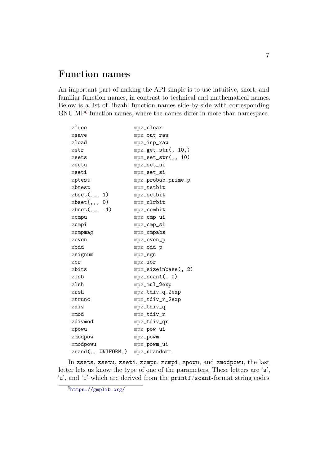## Function names

An important part of making the API simple is to use intuitive, short, and familiar function names, in contrast to technical and mathematical names. Below is a list of libzahl function names side-by-side with corresponding GNU MP<sup>[6](#page-6-0)</sup> function names, where the names differ in more than namespace.

| zfree                   | $mpz$ _clear               |
|-------------------------|----------------------------|
| zsave                   | mpz_out_raw                |
| $z$ load                | $mpz$ _inp_raw             |
| zstr                    | $mpz_get_str($ , 10,)      |
| zsets                   | $mpz_set_str($ , 10)       |
| zsetu                   | mpz_set_ui                 |
| zseti                   | mpz_set_si                 |
| zptest                  | mpz_probab_prime_p         |
| zbtest                  | mpz_tstbit                 |
| zbest(, 1, 1)           | mpz_setbit                 |
| zbest(, 0)              | mpz_clrbit                 |
| $zbest(, 1, -1)$        | mpz_combit                 |
| zcmpu                   | $mpz$ _ $cmp$ _ $ui$       |
| zcmpi                   | mpz_cmp_si                 |
| $z$ cmpmag              | $mpz$ _cmpabs              |
| zeven                   | mpz_even_p                 |
| zodd                    | mpz_odd_p                  |
| zsignum                 | $mpz$ _sgn                 |
| zor                     | $mpz\_ior$                 |
| zbits                   | $mpz$ _sizeinbase $($ , 2) |
| zlsb                    | $mpz$ _scan1 $(, 0)$       |
| zlsh                    | mpz_mul_2exp               |
| zrsh                    | mpz_tdiv_q_2exp            |
| ztrunc                  | mpz_tdiv_r_2exp            |
| zdiv                    | mpz_tdiv_q                 |
| zmod                    | mpz_tdiv_r                 |
| zdivmod                 | mpz_tdiv_qr                |
| zpowu                   | mpz_pow_ui                 |
| zmodpow                 | mpz_powm                   |
| zmodpowu                | mpz_powm_ui                |
| $zrand($ , UNIFORM, $)$ | $mpz$ _urandomm            |

In zsets, zsetu, zseti, zcmpu, zcmpi, zpowu, and zmodpowu, the last letter lets us know the type of one of the parameters. These letters are 's', 'u', and 'i' which are derived from the printf/scanf-format string codes

<span id="page-6-0"></span> $6$ <https://gmplib.org/>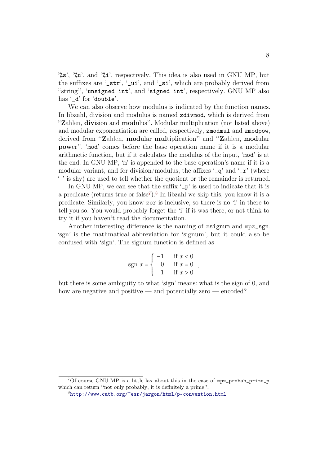'%s', '%u', and '%i', respectively. This idea is also used in GNU MP, but the suffixes are '\_str', '\_ui', and '\_si', which are probably derived from ''string'', 'unsigned int', and 'signed int', respectively. GNU MP also has '\_d' for 'double'.

We can also observe how modulus is indicated by the function names. In libzahl, division and modulus is named zdivmod, which is derived from "Zahlen, division and modulus". Modular multiplication (not listed above) and modular exponentiation are called, respectively, zmodmul and zmodpow, derived from ''Zahlen, modular multiplication'' and ''Zahlen, modular power''. 'mod' comes before the base operation name if it is a modular arithmetic function, but if it calculates the modulus of the input, 'mod' is at the end. In GNU MP, 'm' is appended to the base operation's name if it is a modular variant, and for division/modulus, the affixes  $\mathcal{L}$  and  $\mathcal{L}$  (where '\_' is shy) are used to tell whether the quotient or the remainder is returned.

In GNU MP, we can see that the suffix  $\Delta p'$  is used to indicate that it is a predicate (returns true or false<sup>[7](#page-7-0)</sup>).<sup>[8](#page-7-1)</sup> In libzahl we skip this, you know it is a predicate. Similarly, you know zor is inclusive, so there is no 'i' in there to tell you so. You would probably forget the 'i' if it was there, or not think to try it if you haven't read the documentation.

Another interesting difference is the naming of zsignum and mpz\_sgn. 'sgn' is the mathmatical abbreviation for 'signum', but it could also be confused with 'sign'. The signum function is defined as

$$
sgn \; x = \begin{cases} \; -1 & \text{if } x < 0 \\ \; 0 & \text{if } x = 0 \\ \; 1 & \text{if } x > 0 \end{cases}
$$

but there is some ambiguity to what 'sign' means: what is the sign of 0, and how are negative and positive — and potentially zero — encoded?

<span id="page-7-0"></span> $7$ Of course GNU MP is a little lax about this in the case of mpz\_probab\_prime\_p which can return "not only probably, it is definitely a prime".

<span id="page-7-1"></span><sup>8</sup><http://www.catb.org/~esr/jargon/html/p-convention.html>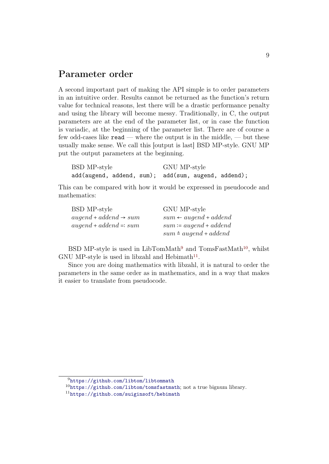#### Parameter order

A second important part of making the API simple is to order parameters in an intuitive order. Results cannot be returned as the function's return value for technical reasons, lest there will be a drastic performance penalty and using the library will become messy. Traditionally, in C, the output parameters are at the end of the parameter list, or in case the function is variadic, at the beginning of the parameter list. There are of course a few odd-cases like  $\texttt{read}$  — where the output is in the middle, — but these usually make sense. We call this [output is last] BSD MP-style. GNU MP put the output parameters at the beginning.

| BSD MP-style                                        |  | GNU MP-style |  |  |  |
|-----------------------------------------------------|--|--------------|--|--|--|
| add(augend, addend, sum); add(sum, augend, addend); |  |              |  |  |  |

This can be compared with how it would be expressed in pseudocode and mathematics:

| BSD MP-style                      | GNU MP-style                     |
|-----------------------------------|----------------------------------|
| $augend + addend \rightarrow sum$ | $sum \leftarrow auqend + addend$ |
| $augend + addend =: sum$          | $sum \coloneq auqend + addend$   |
|                                   | $sum \triangleq auqend + addend$ |
|                                   |                                  |

BSD MP-style is used in LibTomMath<sup>[9](#page-8-0)</sup> and TomsFastMath<sup>[10](#page-8-1)</sup>, whilst GNU MP-style is used in libzahl and Hebimath<sup>[11](#page-8-2)</sup>.

Since you are doing mathematics with libzahl, it is natural to order the parameters in the same order as in mathematics, and in a way that makes it easier to translate from pseudocode.

<span id="page-8-0"></span><sup>9</sup><https://github.com/libtom/libtommath>

<span id="page-8-1"></span> $10$ <https://github.com/libtom/tomsfastmath>; not a true bignum library.

<span id="page-8-2"></span><sup>11</sup><https://github.com/suiginsoft/hebimath>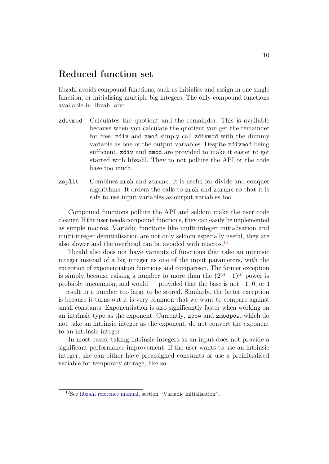### Reduced function set

libzahl avoids compound functions, such as initialise and assign in one single function, or initialising multiple big integers. The only compound functions available in libzahl are:

- zdivmod Calculates the quotient and the remainder. This is available because when you calculate the quotient you get the remainder for free. zdiv and zmod simply call zdivmod with the dummy variable as one of the output variables. Despite zdivmod being sufficient, zdiv and zmod are provided to make it easier to get started with libzahl. They to not pollute the API or the code base too much.
- zsplit Combines zrsh and ztrunc. It is useful for divide-and-conquer algorithms. It orders the calls to zrsh and ztrunc so that it is safe to use input variables as output variables too.

Compound functions pollute the API and seldom make the user code cleaner. If the user needs compound functions, they can easily be implemented as simple macros. Variadic functions like multi-integer initialisation and multi-integer deinitialisation are not only seldom especially useful, they are also slower and the overhead can be avoided with macros.<sup>[12](#page-9-0)</sup>

libzahl also does not have variants of functions that take an intrinsic integer instead of a big integer as one of the input parameters, with the exception of exponentiation functions and comparison. The former exception is simply because raising a number to more than the  $(2^{64} – 1)$ <sup>th</sup> power is probably uncommon, and would — provided that the base is not −1, 0, or 1 — result in a number too large to be stored. Similarly, the latter exception is because it turns out it is very common that we want to compare against small constants. Exponentiation is also significantly faster when working on an intrinsic type as the exponent. Currently, zpow and zmodpow, which do not take an intrinsic integer as the exponent, do not convert the exponent to an intrinsic integer.

In most cases, taking intrinsic integers as an input does not provide a significant performance improvement. If the user wants to use an intrinsic integer, she can either have preassigned constants or use a preinitialised variable for temporary storage, like so:

<span id="page-9-0"></span><sup>12</sup>See [libzahl reference manual,](http://libs.suckless.org/libzahl-refman.pdf) section ''Variadic initialisation''.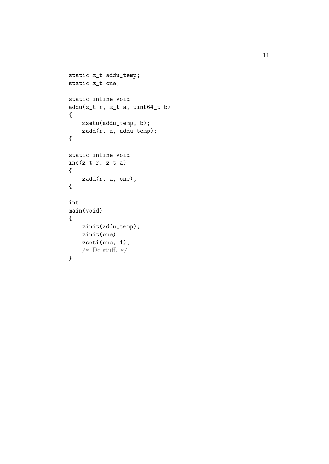```
static z_t addu_temp;
static z_t one;
static inline void
addu(z_t r, z_t a, unit64_t b){
   zsetu(addu_temp, b);
   zadd(r, a, addu_temp);
{
static inline void
inc(z_t r, z_t a)
{
    zadd(r, a, one);
{
int
main(void) {
    zinit(addu_temp);
    zinit(one);
    zseti(one, 1);
    /* Do stuff. */
}
```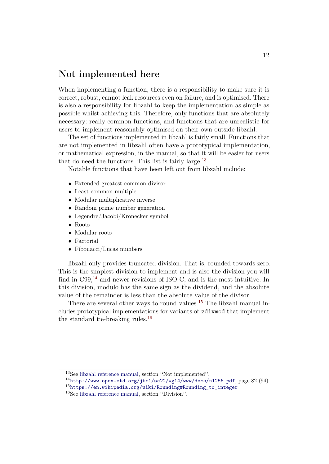#### Not implemented here

When implementing a function, there is a responsibility to make sure it is correct, robust, cannot leak resources even on failure, and is optimised. There is also a responsibility for libzahl to keep the implementation as simple as possible whilst achieving this. Therefore, only functions that are absolutely necessary: really common functions, and functions that are unrealistic for users to implement reasonably optimised on their own outside libzahl.

The set of functions implemented in libzahl is fairly small. Functions that are not implemented in libzahl often have a prototypical implementation, or mathematical expression, in the manual, so that it will be easier for users that do need the functions. This list is fairly large.[13](#page-11-0)

Notable functions that have been left out from libzahl include:

- Extended greatest common divisor
- Least common multiple
- Modular multiplicative inverse
- Random prime number generation
- Legendre/Jacobi/Kronecker symbol
- Roots
- Modular roots
- Factorial
- Fibonacci/Lucas numbers

libzahl only provides truncated division. That is, rounded towards zero. This is the simplest division to implement and is also the division you will find in  $C99<sup>14</sup>$  $C99<sup>14</sup>$  $C99<sup>14</sup>$  and newer revisions of ISO C, and is the most intuitive. In this division, modulo has the same sign as the dividend, and the absolute value of the remainder is less than the absolute value of the divisor.

There are several other ways to round values.<sup>[15](#page-11-2)</sup> The libzahl manual includes prototypical implementations for variants of zdivmod that implement the standard tie-breaking rules.[16](#page-11-3)

- <span id="page-11-1"></span> $^{14}$ <http://www.open-std.org/jtc1/sc22/wg14/www/docs/n1256.pdf>, page 82 (94)
- <span id="page-11-2"></span><sup>15</sup>[https://en.wikipedia.org/wiki/Rounding#Rounding\\_to\\_integer](https://en.wikipedia.org/wiki/Rounding#Rounding_to_integer)
- <span id="page-11-3"></span><sup>16</sup>See [libzahl reference manual,](http://libs.suckless.org/libzahl-refman.pdf) section ''Division''.

<span id="page-11-0"></span><sup>13</sup>See [libzahl reference manual,](http://libs.suckless.org/libzahl-refman.pdf) section ''Not implemented''.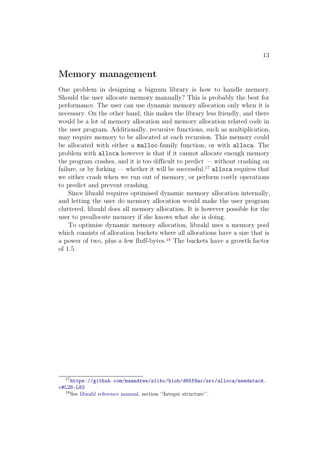#### Memory management

One problem in designing a bignum library is how to handle memory. Should the user allocate memory manually? This is probably the best for performance. The user can use dynamic memory allocation only when it is necessary. On the other hand, this makes the library less friendly, and there would be a lot of memory allocation and memory allocation related code in the user program. Additionally, recursive functions, such as multiplication, may require memory to be allocated at each recursion. This memory could be allocated with either a malloc-family function, or with alloca. The problem with alloca however is that if it cannot allocate enough memory the program crashes, and it is too difficult to predict — without crashing on failure, or by forking — whether it will be successful.<sup>[17](#page-12-0)</sup> alloca requires that we either crash when we run out of memory, or perform costly operations to predict and prevent crashing.

Since libzahl requires optimised dynamic memory allocation internally, and letting the user do memory allocation would make the user program cluttered, libzahl does all memory allocation. It is however possible for the user to preallocate memory if she knows what she is doing.

To optimise dynamic memory allocation, libzahl uses a memory pool which consists of allocation buckets where all allocations have a size that is a power of two, plus a few fluff-bytes.[18](#page-12-1) The buckets have a growth factor of 1.5.

<span id="page-12-0"></span><sup>17</sup>[https://github.com/maandree/slibc/blob/d65f8ac/src/alloca/needstack.](https://github.com/maandree/slibc/blob/d65f8ac/src/alloca/needstack.c#L28-L82) [c#L28-L82](https://github.com/maandree/slibc/blob/d65f8ac/src/alloca/needstack.c#L28-L82)

<span id="page-12-1"></span><sup>18</sup>See [libzahl reference manual,](http://libs.suckless.org/libzahl-refman.pdf) section ''Integer structure''.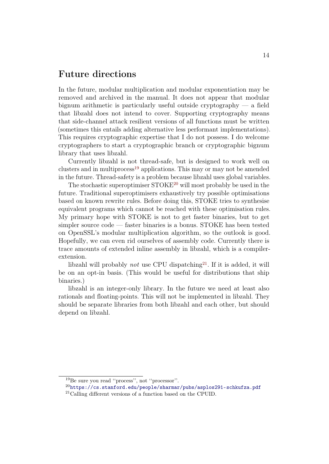#### Future directions

In the future, modular multiplication and modular exponentiation may be removed and archived in the manual. It does not appear that modular bignum arithmetic is particularly useful outside cryptography  $-$  a field that libzahl does not intend to cover. Supporting cryptography means that side-channel attack resilient versions of all functions must be written (sometimes this entails adding alternative less performant implementations). This requires cryptographic expertise that I do not possess. I do welcome cryptographers to start a cryptographic branch or cryptographic bignum library that uses libzahl.

Currently libzahl is not thread-safe, but is designed to work well on clusters and in multiprocess[19](#page-13-0) applications. This may or may not be amended in the future. Thread-safety is a problem because libzahl uses global variables.

The stochastic superoptimiser STOKE[20](#page-13-1) will most probably be used in the future. Traditional superoptimisers exhaustively try possible optimisations based on known rewrite rules. Before doing this, STOKE tries to synthesise equivalent programs which cannot be reached with these optimisation rules. My primary hope with STOKE is not to get faster binaries, but to get simpler source code — faster binaries is a bonus. STOKE has been tested on OpenSSL's modular multiplication algorithm, so the outlook is good. Hopefully, we can even rid ourselves of assembly code. Currently there is trace amounts of extended inline assembly in libzahl, which is a compilerextension.

libzahl will probably *not* use CPU dispatching<sup>[21](#page-13-2)</sup>. If it is added, it will be on an opt-in basis. (This would be useful for distributions that ship binaries.)

libzahl is an integer-only library. In the future we need at least also rationals and floating-points. This will not be implemented in libzahl. They should be separate libraries from both libzahl and each other, but should depend on libzahl.

<span id="page-13-0"></span><sup>19</sup>Be sure you read ''process'', not ''processor''.

<span id="page-13-1"></span> $^{20}$ <https://cs.stanford.edu/people/sharmar/pubs/asplos291-schkufza.pdf>

<span id="page-13-2"></span><sup>21</sup>Calling different versions of a function based on the CPUID.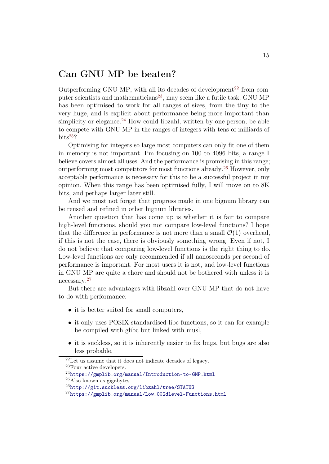### Can GNU MP be beaten?

Outperforming GNU MP, with all its decades of development<sup>[22](#page-14-0)</sup> from com-puter scientists and mathematicians<sup>[23](#page-14-1)</sup>, may seem like a futile task. GNU MP has been optimised to work for all ranges of sizes, from the tiny to the very huge, and is explicit about performance being more important than simplicity or elegance.<sup>[24](#page-14-2)</sup> How could libzahl, written by one person, be able to compete with GNU MP in the ranges of integers with tens of milliards of  $bits^{25}$  $bits^{25}$  $bits^{25}$ ?

Optimising for integers so large most computers can only fit one of them in memory is not important. I'm focusing on 100 to 4096 bits, a range I believe covers almost all uses. And the performance is promising in this range; outperforming most competitors for most functions already.[26](#page-14-4) However, only acceptable performance is necessary for this to be a successful project in my opinion. When this range has been optimised fully, I will move on to 8K bits, and perhaps larger later still.

And we must not forget that progress made in one bignum library can be reused and refined in other bignum libraries.

Another question that has come up is whether it is fair to compare high-level functions, should you not compare low-level functions? I hope that the difference in performance is not more than a small  $\mathcal{O}(1)$  overhead. if this is not the case, there is obviously something wrong. Even if not, I do not believe that comparing low-level functions is the right thing to do. Low-level functions are only recommended if all nanoseconds per second of performance is important. For most users it is not, and low-level functions in GNU MP are quite a chore and should not be bothered with unless it is necessary.[27](#page-14-5)

But there are advantages with libzahl over GNU MP that do not have to do with performance:

- it is better suited for small computers,
- it only uses POSIX-standardised libc functions, so it can for example be compiled with glibc but linked with musl,
- it is suckless, so it is inherently easier to fix bugs, but bugs are also less probable,

<span id="page-14-0"></span><sup>22</sup>Let us assume that it does not indicate decades of legacy.

<span id="page-14-1"></span><sup>23</sup>Four active developers.

<span id="page-14-2"></span><sup>24</sup><https://gmplib.org/manual/Introduction-to-GMP.html>

<span id="page-14-3"></span> $^{25}$ Also known as gigabytes.

<span id="page-14-4"></span><sup>26</sup><http://git.suckless.org/libzahl/tree/STATUS>

<span id="page-14-5"></span><sup>27</sup>[https://gmplib.org/manual/Low\\_002dlevel-Functions.html](https://gmplib.org/manual/Low_002dlevel-Functions.html)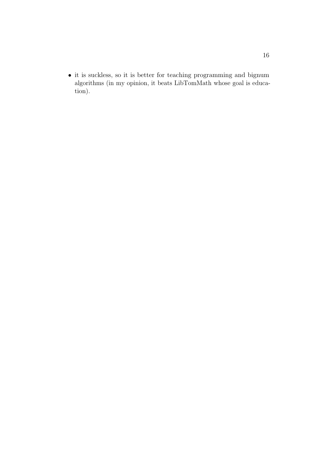$\bullet$  it is suckless, so it is better for teaching programming and bignum algorithms (in my opinion, it beats LibTomMath whose goal is education).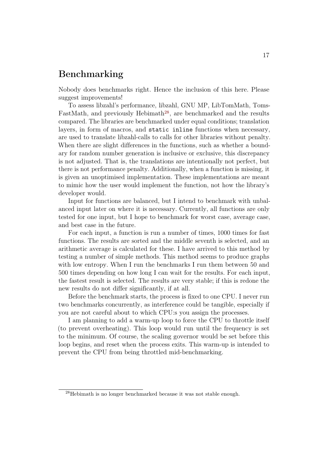### Benchmarking

Nobody does benchmarks right. Hence the inclusion of this here. Please suggest improvements!

To assess libzahl's performance, libzahl, GNU MP, LibTomMath, Toms-FastMath, and previously Hebimath<sup>[28](#page-16-0)</sup>, are benchmarked and the results compared. The libraries are benchmarked under equal conditions; translation layers, in form of macros, and static inline functions when necessary, are used to translate libzahl-calls to calls for other libraries without penalty. When there are slight differences in the functions, such as whether a boundary for random number generation is inclusive or exclusive, this discrepancy is not adjusted. That is, the translations are intentionally not perfect, but there is not performance penalty. Additionally, when a function is missing, it is given an unoptimised implementation. These implementations are meant to mimic how the user would implement the function, not how the library's developer would.

Input for functions are balanced, but I intend to benchmark with unbalanced input later on where it is necessary. Currently, all functions are only tested for one input, but I hope to benchmark for worst case, average case, and best case in the future.

For each input, a function is run a number of times, 1000 times for fast functions. The results are sorted and the middle seventh is selected, and an arithmetic average is calculated for these. I have arrived to this method by testing a number of simple methods. This method seems to produce graphs with low entropy. When I run the benchmarks I run them between 50 and 500 times depending on how long I can wait for the results. For each input, the fastest result is selected. The results are very stable; if this is redone the new results do not differ significantly, if at all.

Before the benchmark starts, the process is fixed to one CPU. I never run two benchmarks concurrently, as interference could be tangible, especially if you are not careful about to which CPU:s you assign the processes.

I am planning to add a warm-up loop to force the CPU to throttle itself (to prevent overheating). This loop would run until the frequency is set to the minimum. Of course, the scaling governor would be set before this loop begins, and reset when the process exits. This warm-up is intended to prevent the CPU from being throttled mid-benchmarking.

<span id="page-16-0"></span> $^{28}\mathrm{Hebimath}$  is no longer benchmarked because it was not stable enough.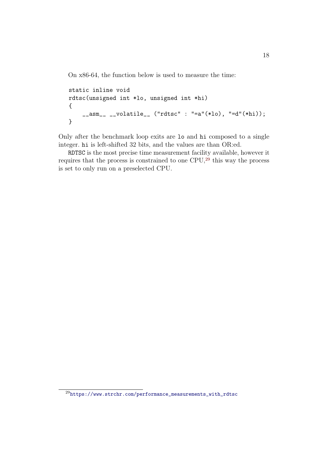On x86-64, the function below is used to measure the time:

```
static inline void
rdtsc(unsigned int *lo, unsigned int *hi)
{
    __asm__ __volatile__ ("rdtsc" : "=a"(*lo), "=d"(*hi));
}
```
Only after the benchmark loop exits are lo and hi composed to a single integer. hi is left-shifted 32 bits, and the values are than OR:ed.

RDTSC is the most precise time measurement facility available, however it requires that the process is constrained to one CPU,[29](#page-17-0) this way the process is set to only run on a preselected CPU.

<span id="page-17-0"></span> $^{29}{\tt https://www.strchr.com/performance\_measurements\_with\_rdtsc}$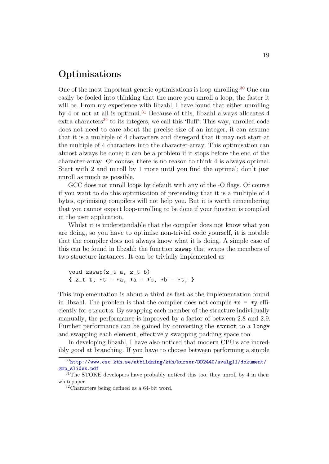### Optimisations

One of the most important generic optimisations is loop-unrolling.[30](#page-18-0) One can easily be fooled into thinking that the more you unroll a loop, the faster it will be. From my experience with libzahl, I have found that either unrolling by 4 or not at all is optimal.[31](#page-18-1) Because of this, libzahl always allocates 4  $\text{extra characters}^{32}$  $\text{extra characters}^{32}$  $\text{extra characters}^{32}$  to its integers, we call this 'fluff'. This way, unrolled code does not need to care about the precise size of an integer, it can assume that it is a multiple of 4 characters and disregard that it may not start at the multiple of 4 characters into the character-array. This optimisation can almost always be done; it can be a problem if it stops before the end of the character-array. Of course, there is no reason to think 4 is always optimal. Start with 2 and unroll by 1 more until you find the optimal; don't just unroll as much as possible.

GCC does not unroll loops by default with any of the -O flags. Of course if you want to do this optimisation of pretending that it is a multiple of 4 bytes, optimising compilers will not help you. But it is worth remembering that you cannot expect loop-unrolling to be done if your function is compiled in the user application.

Whilst it is understandable that the compiler does not know what you are doing, so you have to optimise non-trivial code yourself, it is notable that the compiler does not always know what it is doing. A simple case of this can be found in libzahl: the function zswap that swaps the members of two structure instances. It can be trivially implemented as

void zswap(z\_t a, z\_t b) { $z_t$  t; \*t = \*a, \*a = \*b, \*b = \*t; }

This implementation is about a third as fast as the implementation found in libzahl. The problem is that the compiler does not compile  $\ast x = \ast y$  efficiently for struct:s. By swapping each member of the structure individually manually, the performance is improved by a factor of between 2.8 and 2.9. Further performance can be gained by converting the struct to a long\* and swapping each element, effectively swapping padding space too.

In developing libzahl, I have also noticed that modern CPU:s are incredibly good at branching. If you have to choose between performing a simple

<span id="page-18-0"></span> $30$ [http://www.csc.kth.se/utbildning/kth/kurser/DD2440/avalg11/dokument/](http://www.csc.kth.se/utbildning/kth/kurser/DD2440/avalg11/dokument/gmp_slides.pdf) [gmp\\_slides.pdf](http://www.csc.kth.se/utbildning/kth/kurser/DD2440/avalg11/dokument/gmp_slides.pdf)

<span id="page-18-1"></span><sup>&</sup>lt;sup>31</sup>The STOKE developers have probably noticed this too, they unroll by 4 in their whitepaper.

<span id="page-18-2"></span><sup>32</sup>Characters being defined as a 64-bit word.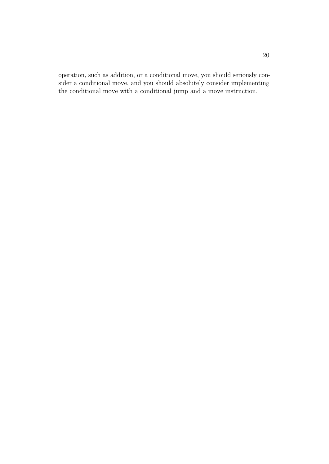operation, such as addition, or a conditional move, you should seriously consider a conditional move, and you should absolutely consider implementing the conditional move with a conditional jump and a move instruction.